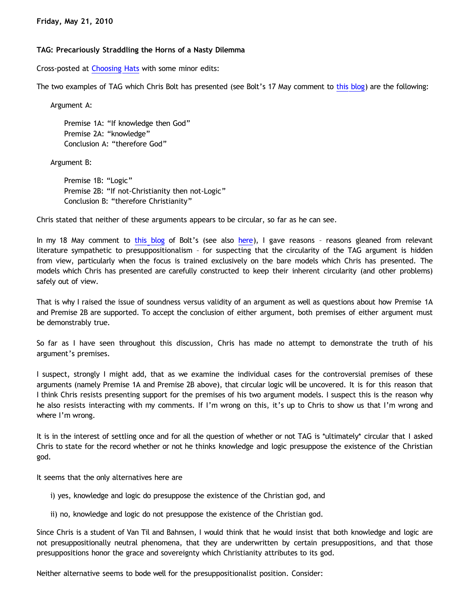# **TAG: Precariously Straddling the Horns of a Nasty Dilemma**

Cross-posted at [Choosing Hats](http://www.choosinghats.com/?p=1207) with some minor edits:

The two examples of TAG which Chris Bolt has presented (see Bolt's 17 May comment to [this blog\)](http://www.choosinghats.com/?p=1207) are the following:

Argument A:

Premise 1A: "If knowledge then God" Premise 2A: "knowledge" Conclusion A: "therefore God"

Argument B:

Premise 1B: "Logic" Premise 2B: "If not-Christianity then not-Logic" Conclusion B: "therefore Christianity"

Chris stated that neither of these arguments appears to be circular, so far as he can see.

In my 18 May comment to [this blog](http://www.choosinghats.com/?p=1207) of Bolt's (see also [here\)](http://bahnsenburner.blogspot.com/2010/05/my-suppressed-comment-regarding-tag-on.html), I gave reasons - reasons gleaned from relevant literature sympathetic to presuppositionalism – for suspecting that the circularity of the TAG argument is hidden from view, particularly when the focus is trained exclusively on the bare models which Chris has presented. The models which Chris has presented are carefully constructed to keep their inherent circularity (and other problems) safely out of view.

That is why I raised the issue of soundness versus validity of an argument as well as questions about how Premise 1A and Premise 2B are supported. To accept the conclusion of either argument, both premises of either argument must be demonstrably true.

So far as I have seen throughout this discussion, Chris has made no attempt to demonstrate the truth of his argument's premises.

I suspect, strongly I might add, that as we examine the individual cases for the controversial premises of these arguments (namely Premise 1A and Premise 2B above), that circular logic will be uncovered. It is for this reason that I think Chris resists presenting support for the premises of his two argument models. I suspect this is the reason why he also resists interacting with my comments. If I'm wrong on this, it's up to Chris to show us that I'm wrong and where I'm wrong.

It is in the interest of settling once and for all the question of whether or not TAG is \*ultimately\* circular that I asked Chris to state for the record whether or not he thinks knowledge and logic presuppose the existence of the Christian god.

It seems that the only alternatives here are

- i) yes, knowledge and logic do presuppose the existence of the Christian god, and
- ii) no, knowledge and logic do not presuppose the existence of the Christian god.

Since Chris is a student of Van Til and Bahnsen, I would think that he would insist that both knowledge and logic are not presuppositionally neutral phenomena, that they are underwritten by certain presuppositions, and that those presuppositions honor the grace and sovereignty which Christianity attributes to its god.

Neither alternative seems to bode well for the presuppositionalist position. Consider: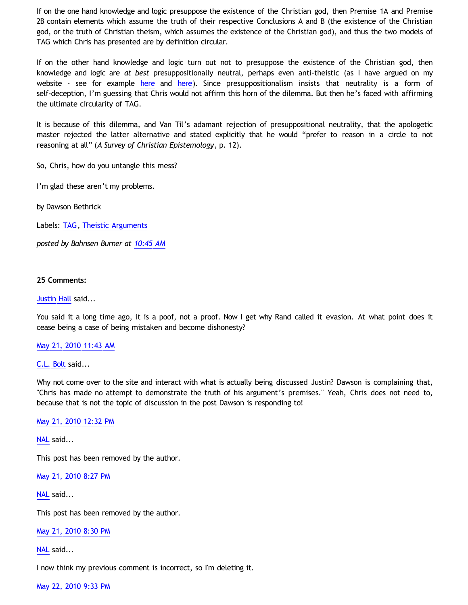If on the one hand knowledge and logic presuppose the existence of the Christian god, then Premise 1A and Premise 2B contain elements which assume the truth of their respective Conclusions A and B (the existence of the Christian god, or the truth of Christian theism, which assumes the existence of the Christian god), and thus the two models of TAG which Chris has presented are by definition circular.

If on the other hand knowledge and logic turn out not to presuppose the existence of the Christian god, then knowledge and logic are *at best* presuppositionally neutral, perhaps even anti-theistic (as I have argued on my website - see for example [here](http://katholon.com/Logic.htm) and here). Since presuppositionalism insists that neutrality is a form of self-deception, I'm guessing that Chris would not affirm this horn of the dilemma. But then he's faced with affirming the ultimate circularity of TAG.

It is because of this dilemma, and Van Til's adamant rejection of presuppositional neutrality, that the apologetic master rejected the latter alternative and stated explicitly that he would "prefer to reason in a circle to not reasoning at all" (*A Survey of Christian Epistemology*, p. 12).

So, Chris, how do you untangle this mess?

I'm glad these aren't my problems.

by Dawson Bethrick

Labels: [TAG](http://bahnsenburner.blogspot.com/search/label/TAG), [Theistic Arguments](http://bahnsenburner.blogspot.com/search/label/Theistic%20Arguments)

*posted by Bahnsen Burner at [10:45 AM](http://bahnsenburner.blogspot.com/2010/05/tag-precariously-straddling-horns-of.html)*

#### **25 Comments:**

#### [Justin Hall](http://www.blogger.com/profile/17804641315202800289) said...

You said it a long time ago, it is a poof, not a proof. Now I get why Rand called it evasion. At what point does it cease being a case of being mistaken and become dishonesty?

### [May 21, 2010 11:43 AM](http://bahnsenburner.blogspot.com/2010/05/432741320526458671)

### [C.L. Bolt](http://www.blogger.com/profile/15797112064238146744) said...

Why not come over to the site and interact with what is actually being discussed Justin? Dawson is complaining that, "Chris has made no attempt to demonstrate the truth of his argument's premises." Yeah, Chris does not need to, because that is not the topic of discussion in the post Dawson is responding to!

### [May 21, 2010 12:32 PM](http://bahnsenburner.blogspot.com/2010/05/4526829879411152813)

[NAL](http://www.blogger.com/profile/12244370945682162312) said...

This post has been removed by the author.

[May 21, 2010 8:27 PM](http://bahnsenburner.blogspot.com/2010/05/6736193991563958294)

[NAL](http://www.blogger.com/profile/12244370945682162312) said...

This post has been removed by the author.

[May 21, 2010 8:30 PM](http://bahnsenburner.blogspot.com/2010/05/3505104043666081752)

[NAL](http://www.blogger.com/profile/12244370945682162312) said...

I now think my previous comment is incorrect, so I'm deleting it.

[May 22, 2010 9:33 PM](http://bahnsenburner.blogspot.com/2010/05/2124538453822244740)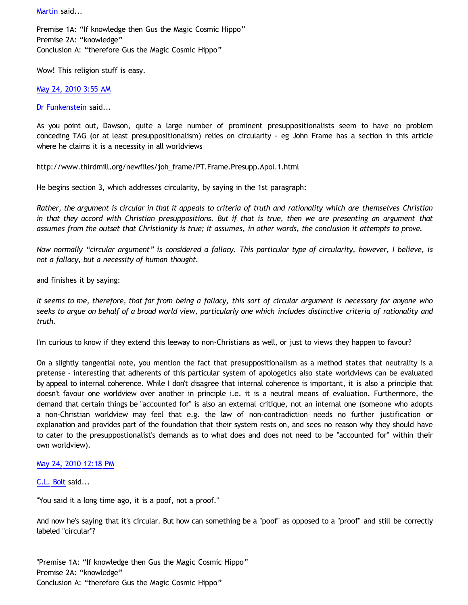[Martin](http://www.blogger.com/profile/17933545393470431585) said...

Premise 1A: "If knowledge then Gus the Magic Cosmic Hippo" Premise 2A: "knowledge" Conclusion A: "therefore Gus the Magic Cosmic Hippo"

Wow! This religion stuff is easy.

[May 24, 2010 3:55 AM](http://bahnsenburner.blogspot.com/2010/05/4099009303930138901)

[Dr Funkenstein](http://www.blogger.com/profile/03620894198842461714) said...

As you point out, Dawson, quite a large number of prominent presuppositionalists seem to have no problem conceding TAG (or at least presuppositionalism) relies on circularity - eg John Frame has a section in this article where he claims it is a necessity in all worldviews

[http://www.thirdmill.org/newfiles/joh\\_frame/PT.Frame.Presupp.Apol.1.html](http://www.thirdmill.org/newfiles/joh_frame/PT.Frame.Presupp.Apol.1.html)

He begins section 3, which addresses circularity, by saying in the 1st paragraph:

*Rather, the argument is circular in that it appeals to criteria of truth and rationality which are themselves Christian in that they accord with Christian presuppositions. But if that is true, then we are presenting an argument that assumes from the outset that Christianity is true; it assumes, in other words, the conclusion it attempts to prove.*

*Now normally "circular argument" is considered a fallacy. This particular type of circularity, however, I believe, is not a fallacy, but a necessity of human thought.*

and finishes it by saying:

*It seems to me, therefore, that far from being a fallacy, this sort of circular argument is necessary for anyone who seeks to argue on behalf of a broad world view, particularly one which includes distinctive criteria of rationality and truth.*

I'm curious to know if they extend this leeway to non-Christians as well, or just to views they happen to favour?

On a slightly tangential note, you mention the fact that presuppositionalism as a method states that neutrality is a pretense - interesting that adherents of this particular system of apologetics also state worldviews can be evaluated by appeal to internal coherence. While I don't disagree that internal coherence is important, it is also a principle that doesn't favour one worldview over another in principle i.e. it is a neutral means of evaluation. Furthermore, the demand that certain things be "accounted for" is also an external critique, not an internal one (someone who adopts a non-Christian worldview may feel that e.g. the law of non-contradiction needs no further justification or explanation and provides part of the foundation that their system rests on, and sees no reason why they should have to cater to the presuppostionalist's demands as to what does and does not need to be "accounted for" within their own worldview).

# [May 24, 2010 12:18 PM](http://bahnsenburner.blogspot.com/2010/05/4170492959524653192)

[C.L. Bolt](http://www.blogger.com/profile/15797112064238146744) said...

"You said it a long time ago, it is a poof, not a proof."

And now he's saying that it's circular. But how can something be a "poof" as opposed to a "proof" and still be correctly labeled "circular"?

"Premise 1A: "If knowledge then Gus the Magic Cosmic Hippo" Premise 2A: "knowledge" Conclusion A: "therefore Gus the Magic Cosmic Hippo"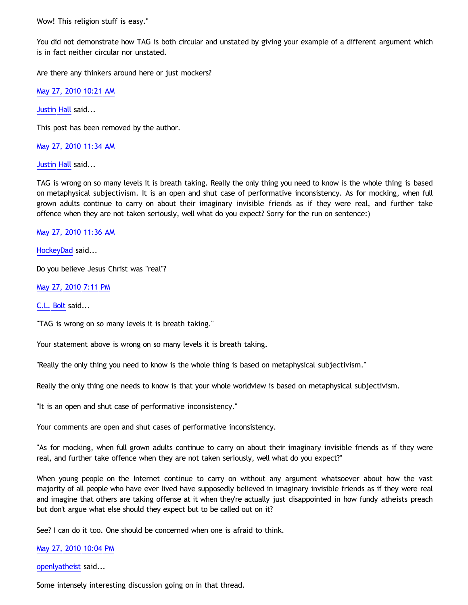Wow! This religion stuff is easy."

You did not demonstrate how TAG is both circular and unstated by giving your example of a different argument which is in fact neither circular nor unstated.

Are there any thinkers around here or just mockers?

[May 27, 2010 10:21 AM](http://bahnsenburner.blogspot.com/2010/05/2576041779544508970)

[Justin Hall](http://www.blogger.com/profile/17804641315202800289) said...

This post has been removed by the author.

[May 27, 2010 11:34 AM](http://bahnsenburner.blogspot.com/2010/05/6394560481595674739)

[Justin Hall](http://www.blogger.com/profile/17804641315202800289) said...

TAG is wrong on so many levels it is breath taking. Really the only thing you need to know is the whole thing is based on metaphysical subjectivism. It is an open and shut case of performative inconsistency. As for mocking, when full grown adults continue to carry on about their imaginary invisible friends as if they were real, and further take offence when they are not taken seriously, well what do you expect? Sorry for the run on sentence:)

[May 27, 2010 11:36 AM](http://bahnsenburner.blogspot.com/2010/05/1577631484661086883)

[HockeyDad](http://www.blogger.com/profile/06521889714489595024) said...

Do you believe Jesus Christ was "real"?

[May 27, 2010 7:11 PM](http://bahnsenburner.blogspot.com/2010/05/7379455781136028441)

[C.L. Bolt](http://www.blogger.com/profile/15797112064238146744) said...

"TAG is wrong on so many levels it is breath taking."

Your statement above is wrong on so many levels it is breath taking.

"Really the only thing you need to know is the whole thing is based on metaphysical subjectivism."

Really the only thing one needs to know is that your whole worldview is based on metaphysical subjectivism.

"It is an open and shut case of performative inconsistency."

Your comments are open and shut cases of performative inconsistency.

"As for mocking, when full grown adults continue to carry on about their imaginary invisible friends as if they were real, and further take offence when they are not taken seriously, well what do you expect?"

When young people on the Internet continue to carry on without any argument whatsoever about how the vast majority of all people who have ever lived have supposedly believed in imaginary invisible friends as if they were real and imagine that others are taking offense at it when they're actually just disappointed in how fundy atheists preach but don't argue what else should they expect but to be called out on it?

See? I can do it too. One should be concerned when one is afraid to think.

# [May 27, 2010 10:04 PM](http://bahnsenburner.blogspot.com/2010/05/1462082219956653312)

## [openlyatheist](http://www.blogger.com/profile/03799132607816184980) said...

Some intensely interesting discussion going on in that thread.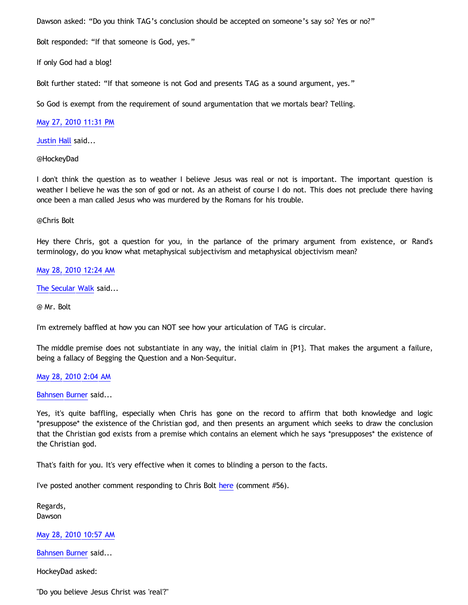Dawson asked: "Do you think TAG's conclusion should be accepted on someone's say so? Yes or no?"

Bolt responded: "If that someone is God, yes."

If only God had a blog!

Bolt further stated: "If that someone is not God and presents TAG as a sound argument, yes."

So God is exempt from the requirement of sound argumentation that we mortals bear? Telling.

# [May 27, 2010 11:31 PM](http://bahnsenburner.blogspot.com/2010/05/5016341147741899546)

[Justin Hall](http://www.blogger.com/profile/17804641315202800289) said...

@HockeyDad

I don't think the question as to weather I believe Jesus was real or not is important. The important question is weather I believe he was the son of god or not. As an atheist of course I do not. This does not preclude there having once been a man called Jesus who was murdered by the Romans for his trouble.

#### @Chris Bolt

Hey there Chris, got a question for you, in the parlance of the primary argument from existence, or Rand's terminology, do you know what metaphysical subjectivism and metaphysical objectivism mean?

### [May 28, 2010 12:24 AM](http://bahnsenburner.blogspot.com/2010/05/3738460034389339968)

[The Secular Walk](http://www.blogger.com/profile/08342572056569966450) said...

@ Mr. Bolt

I'm extremely baffled at how you can NOT see how your articulation of TAG is circular.

The middle premise does not substantiate in any way, the initial claim in {P1}. That makes the argument a failure, being a fallacy of Begging the Question and a Non-Sequitur.

### [May 28, 2010 2:04 AM](http://bahnsenburner.blogspot.com/2010/05/4925476966161510307)

[Bahnsen Burner](http://www.blogger.com/profile/11030029491768748360) said...

Yes, it's quite baffling, especially when Chris has gone on the record to affirm that both knowledge and logic \*presuppose\* the existence of the Christian god, and then presents an argument which seeks to draw the conclusion that the Christian god exists from a premise which contains an element which he says \*presupposes\* the existence of the Christian god.

That's faith for you. It's very effective when it comes to blinding a person to the facts.

I've posted another comment responding to Chris Bolt [here](http://www.choosinghats.com/?p=1207) (comment #56).

Regards, Dawson

[May 28, 2010 10:57 AM](http://bahnsenburner.blogspot.com/2010/05/1287051715255473549)

[Bahnsen Burner](http://www.blogger.com/profile/11030029491768748360) said...

HockeyDad asked:

"Do you believe Jesus Christ was 'real'?"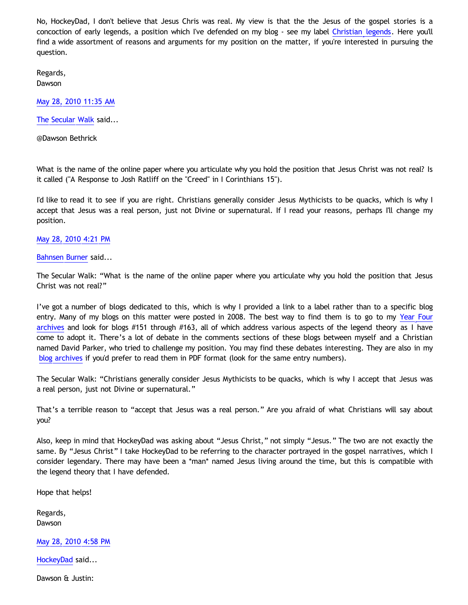No, HockeyDad, I don't believe that Jesus Chris was real. My view is that the the Jesus of the gospel stories is a concoction of early legends, a position which I've defended on my blog - see my label [Christian legends](http://bahnsenburner.blogspot.com/search/label/Christian%20Legends). Here you'll find a wide assortment of reasons and arguments for my position on the matter, if you're interested in pursuing the question.

Regards, Dawson

[May 28, 2010 11:35 AM](http://bahnsenburner.blogspot.com/2010/05/6155823564075845931)

[The Secular Walk](http://www.blogger.com/profile/08342572056569966450) said...

@Dawson Bethrick

What is the name of the online paper where you articulate why you hold the position that Jesus Christ was not real? Is it called ("A Response to Josh Ratliff on the "Creed" in I Corinthians 15").

I'd like to read it to see if you are right. Christians generally consider Jesus Mythicists to be quacks, which is why I accept that Jesus was a real person, just not Divine or supernatural. If I read your reasons, perhaps I'll change my position.

[May 28, 2010 4:21 PM](http://bahnsenburner.blogspot.com/2010/05/5959823824780098851)

[Bahnsen Burner](http://www.blogger.com/profile/11030029491768748360) said...

The Secular Walk: "What is the name of the online paper where you articulate why you hold the position that Jesus Christ was not real?"

I've got a number of blogs dedicated to this, which is why I provided a link to a label rather than to a specific blog entry. Many of my blogs on this matter were posted in 2008. The best way to find them is to go to my [Year Four](http://bahnsenburner.blogspot.com/2009/03/incinerating-presuppositionalism-year.html) [archives](http://bahnsenburner.blogspot.com/2009/03/incinerating-presuppositionalism-year.html) and look for blogs #151 through #163, all of which address various aspects of the legend theory as I have come to adopt it. There's a lot of debate in the comments sections of these blogs between myself and a Christian named David Parker, who tried to challenge my position. You may find these debates interesting. They are also in my [blog archives](http://www.katholon.com/ip.htm) if you'd prefer to read them in PDF format (look for the same entry numbers).

The Secular Walk: "Christians generally consider Jesus Mythicists to be quacks, which is why I accept that Jesus was a real person, just not Divine or supernatural."

That's a terrible reason to "accept that Jesus was a real person." Are you afraid of what Christians will say about you?

Also, keep in mind that HockeyDad was asking about "Jesus Christ," not simply "Jesus." The two are not exactly the same. By "Jesus Christ" I take HockeyDad to be referring to the character portrayed in the gospel narratives, which I consider legendary. There may have been a \*man\* named Jesus living around the time, but this is compatible with the legend theory that I have defended.

Hope that helps!

Regards, Dawson

[May 28, 2010 4:58 PM](http://bahnsenburner.blogspot.com/2010/05/3666083320426015592)

[HockeyDad](http://www.blogger.com/profile/06521889714489595024) said...

Dawson & Justin: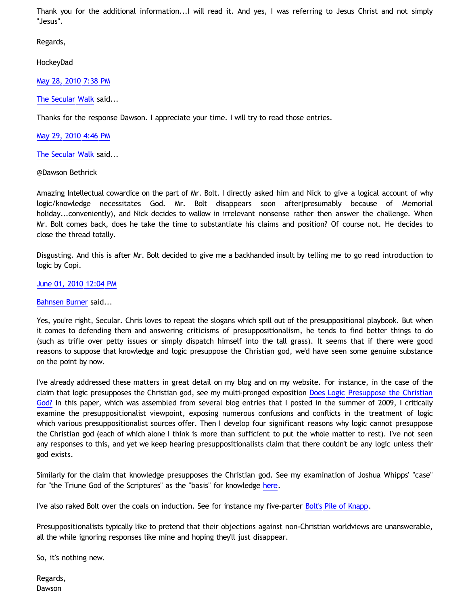Thank you for the additional information...I will read it. And yes, I was referring to Jesus Christ and not simply "Jesus".

Regards,

HockeyDad

[May 28, 2010 7:38 PM](http://bahnsenburner.blogspot.com/2010/05/5630224772296695969)

[The Secular Walk](http://www.blogger.com/profile/08342572056569966450) said...

Thanks for the response Dawson. I appreciate your time. I will try to read those entries.

[May 29, 2010 4:46 PM](http://bahnsenburner.blogspot.com/2010/05/6690429583375118776)

[The Secular Walk](http://www.blogger.com/profile/08342572056569966450) said...

@Dawson Bethrick

Amazing Intellectual cowardice on the part of Mr. Bolt. I directly asked him and Nick to give a logical account of why logic/knowledge necessitates God. Mr. Bolt disappears soon after(presumably because of Memorial holiday...conveniently), and Nick decides to wallow in irrelevant nonsense rather then answer the challenge. When Mr. Bolt comes back, does he take the time to substantiate his claims and position? Of course not. He decides to close the thread totally.

Disgusting. And this is after Mr. Bolt decided to give me a backhanded insult by telling me to go read introduction to logic by Copi.

# [June 01, 2010 12:04 PM](http://bahnsenburner.blogspot.com/2010/05/1957892459484076516)

# [Bahnsen Burner](http://www.blogger.com/profile/11030029491768748360) said...

Yes, you're right, Secular. Chris loves to repeat the slogans which spill out of the presuppositional playbook. But when it comes to defending them and answering criticisms of presuppositionalism, he tends to find better things to do (such as trifle over petty issues or simply dispatch himself into the tall grass). It seems that if there were good reasons to suppose that knowledge and logic presuppose the Christian god, we'd have seen some genuine substance on the point by now.

I've already addressed these matters in great detail on my blog and on my website. For instance, in the case of the claim that logic presupposes the Christian god, see my multi-pronged exposition [Does Logic Presuppose the Christian](http://www.katholon.com/Logic.htm) [God?](http://www.katholon.com/Logic.htm) In this paper, which was assembled from several blog entries that I posted in the summer of 2009, I critically examine the presuppositionalist viewpoint, exposing numerous confusions and conflicts in the treatment of logic which various presuppositionalist sources offer. Then I develop four significant reasons why logic cannot presuppose the Christian god (each of which alone I think is more than sufficient to put the whole matter to rest). I've not seen any responses to this, and yet we keep hearing presuppositionalists claim that there couldn't be any logic unless their god exists.

Similarly for the claim that knowledge presupposes the Christian god. See my examination of Joshua Whipps' "case" for "the Triune God of the Scriptures" as the "basis" for knowledge [here.](http://katholon.com/RK.htm)

I've also raked Bolt over the coals on induction. See for instance my five-parter [Bolt's Pile of Knapp](http://katholon.com/Bolts-Pile-of-Knapp.htm).

Presuppositionalists typically like to pretend that their objections against non-Christian worldviews are unanswerable, all the while ignoring responses like mine and hoping they'll just disappear.

So, it's nothing new.

Regards, Dawson